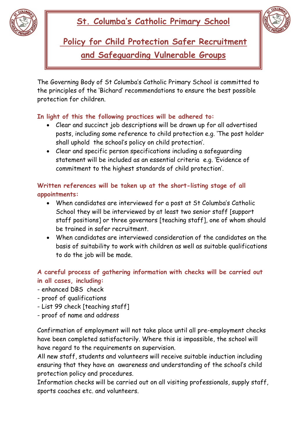

## **St. Columba's Catholic Primary School**



**Policy for Child Protection Safer Recruitment and Safeguarding Vulnerable Groups** 

The Governing Body of St Columba's Catholic Primary School is committed to the principles of the 'Bichard' recommendations to ensure the best possible protection for children.

## **In light of this the following practices will be adhered to:**

- Clear and succinct job descriptions will be drawn up for all advertised posts, including some reference to child protection e.g. 'The post holder shall uphold the school's policy on child protection'.
- Clear and specific person specifications including a safeguarding statement will be included as an essential criteria e.g. 'Evidence of commitment to the highest standards of child protection'.

## **Written references will be taken up at the short-listing stage of all appointments:**

- When candidates are interviewed for a post at St Columba's Catholic School they will be interviewed by at least two senior staff [support staff positions] or three governors [teaching staff], one of whom should be trained in safer recruitment.
- When candidates are interviewed consideration of the candidates on the basis of suitability to work with children as well as suitable qualifications to do the job will be made.

## **A careful process of gathering information with checks will be carried out in all cases, including:**

- enhanced DBS check
- proof of qualifications
- List 99 check [teaching staff]
- proof of name and address

Confirmation of employment will not take place until all pre-employment checks have been completed satisfactorily. Where this is impossible, the school will have regard to the requirements on supervision.

All new staff, students and volunteers will receive suitable induction including ensuring that they have an awareness and understanding of the school's child protection policy and procedures.

Information checks will be carried out on all visiting professionals, supply staff, sports coaches etc. and volunteers.